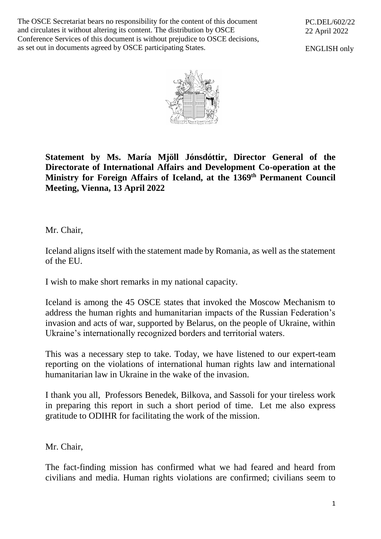The OSCE Secretariat bears no responsibility for the content of this document and circulates it without altering its content. The distribution by OSCE Conference Services of this document is without prejudice to OSCE decisions, as set out in documents agreed by OSCE participating States.

PC.DEL/602/22 22 April 2022

ENGLISH only



**Statement by Ms. María Mjöll Jónsdóttir, Director General of the Directorate of International Affairs and Development Co-operation at the Ministry for Foreign Affairs of Iceland, at the 1369th Permanent Council Meeting, Vienna, 13 April 2022**

Mr. Chair,

Iceland aligns itself with the statement made by Romania, as well as the statement of the EU.

I wish to make short remarks in my national capacity.

Iceland is among the 45 OSCE states that invoked the Moscow Mechanism to address the human rights and humanitarian impacts of the Russian Federation's invasion and acts of war, supported by Belarus, on the people of Ukraine, within Ukraine's internationally recognized borders and territorial waters.

This was a necessary step to take. Today, we have listened to our expert-team reporting on the violations of international human rights law and international humanitarian law in Ukraine in the wake of the invasion.

I thank you all, Professors Benedek, Bilkova, and Sassoli for your tireless work in preparing this report in such a short period of time. Let me also express gratitude to ODIHR for facilitating the work of the mission.

Mr. Chair,

The fact-finding mission has confirmed what we had feared and heard from civilians and media. Human rights violations are confirmed; civilians seem to